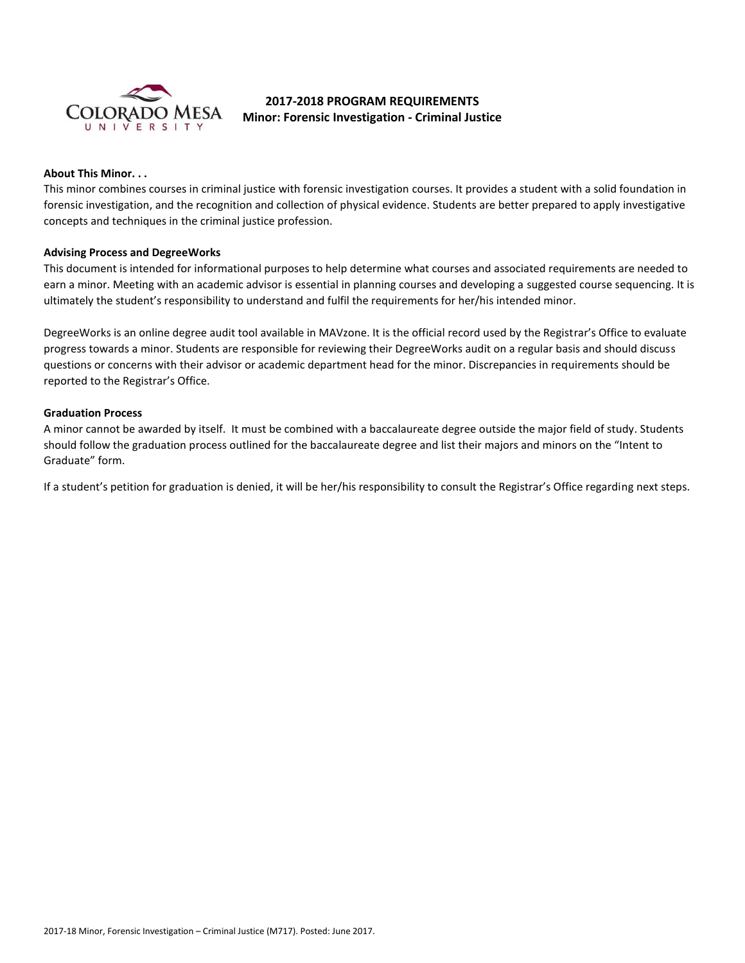

# **2017-2018 PROGRAM REQUIREMENTS Minor: Forensic Investigation - Criminal Justice**

## **About This Minor. . .**

This minor combines courses in criminal justice with forensic investigation courses. It provides a student with a solid foundation in forensic investigation, and the recognition and collection of physical evidence. Students are better prepared to apply investigative concepts and techniques in the criminal justice profession.

#### **Advising Process and DegreeWorks**

This document is intended for informational purposes to help determine what courses and associated requirements are needed to earn a minor. Meeting with an academic advisor is essential in planning courses and developing a suggested course sequencing. It is ultimately the student's responsibility to understand and fulfil the requirements for her/his intended minor.

DegreeWorks is an online degree audit tool available in MAVzone. It is the official record used by the Registrar's Office to evaluate progress towards a minor. Students are responsible for reviewing their DegreeWorks audit on a regular basis and should discuss questions or concerns with their advisor or academic department head for the minor. Discrepancies in requirements should be reported to the Registrar's Office.

### **Graduation Process**

A minor cannot be awarded by itself. It must be combined with a baccalaureate degree outside the major field of study. Students should follow the graduation process outlined for the baccalaureate degree and list their majors and minors on the "Intent to Graduate" form.

If a student's petition for graduation is denied, it will be her/his responsibility to consult the Registrar's Office regarding next steps.